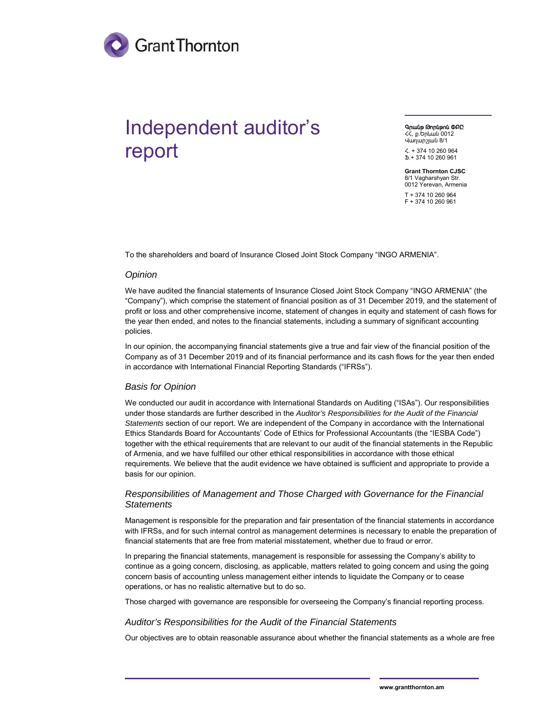

# Independent auditor's report

 Գրանթ Թորնթոն ՓԲԸ ՀՀ, ք.Երևան 0012 Վաղարշյան 8/1

 $\zeta$  + 374 10 260 964 Ֆ.+ 374 10 260 961

 **Grant Thornton CJSC**  8/1 Vagharshyan Str. 0012 Yerevan, Armenia T + 374 10 260 964 F + 374 10 260 961

To the shareholders and board of Insurance Closed Joint Stock Company "INGO ARMENIA".

### *Opinion*

We have audited the financial statements of Insurance Closed Joint Stock Company "INGO ARMENIA" (the "Company"), which comprise the statement of financial position as of 31 December 2019, and the statement of profit or loss and other comprehensive income, statement of changes in equity and statement of cash flows for the year then ended, and notes to the financial statements, including a summary of significant accounting policies.

In our opinion, the accompanying financial statements give a true and fair view of the financial position of the Company as of 31 December 2019 and of its financial performance and its cash flows for the year then ended in accordance with International Financial Reporting Standards ("IFRSs").

#### *Basis for Opinion*

We conducted our audit in accordance with International Standards on Auditing ("ISAs"). Our responsibilities under those standards are further described in the *Auditor's Responsibilities for the Audit of the Financial Statements* section of our report. We are independent of the Company in accordance with the International Ethics Standards Board for Accountants' Code of Ethics for Professional Accountants (the "IESBA Code") together with the ethical requirements that are relevant to our audit of the financial statements in the Republic of Armenia, and we have fulfilled our other ethical responsibilities in accordance with those ethical requirements. We believe that the audit evidence we have obtained is sufficient and appropriate to provide a basis for our opinion.

## *Responsibilities of Management and Those Charged with Governance for the Financial Statements*

Management is responsible for the preparation and fair presentation of the financial statements in accordance with IFRSs, and for such internal control as management determines is necessary to enable the preparation of financial statements that are free from material misstatement, whether due to fraud or error.

In preparing the financial statements, management is responsible for assessing the Company's ability to continue as a going concern, disclosing, as applicable, matters related to going concern and using the going concern basis of accounting unless management either intends to liquidate the Company or to cease operations, or has no realistic alternative but to do so.

Those charged with governance are responsible for overseeing the Company's financial reporting process.

#### *Auditor's Responsibilities for the Audit of the Financial Statements*

Our objectives are to obtain reasonable assurance about whether the financial statements as a whole are free